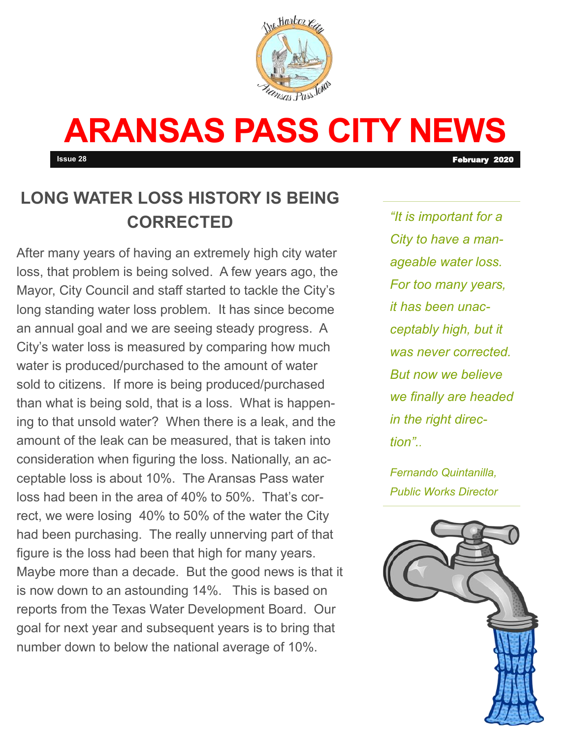

# **ARANSAS PASS CITY NEWS**

**Issue 28 February 2020** 

# **LONG WATER LOSS HISTORY IS BEING CORRECTED**

After many years of having an extremely high city water loss, that problem is being solved. A few years ago, the Mayor, City Council and staff started to tackle the City's long standing water loss problem. It has since become an annual goal and we are seeing steady progress. A City's water loss is measured by comparing how much water is produced/purchased to the amount of water sold to citizens. If more is being produced/purchased than what is being sold, that is a loss. What is happening to that unsold water? When there is a leak, and the amount of the leak can be measured, that is taken into consideration when figuring the loss. Nationally, an acceptable loss is about 10%. The Aransas Pass water loss had been in the area of 40% to 50%. That's correct, we were losing 40% to 50% of the water the City had been purchasing. The really unnerving part of that figure is the loss had been that high for many years. Maybe more than a decade. But the good news is that it is now down to an astounding 14%. This is based on reports from the Texas Water Development Board. Our goal for next year and subsequent years is to bring that number down to below the national average of 10%.

*"It is important for a City to have a manageable water loss. For too many years, it has been unacceptably high, but it was never corrected. But now we believe we finally are headed in the right direction"..* 

*Fernando Quintanilla, Public Works Director*

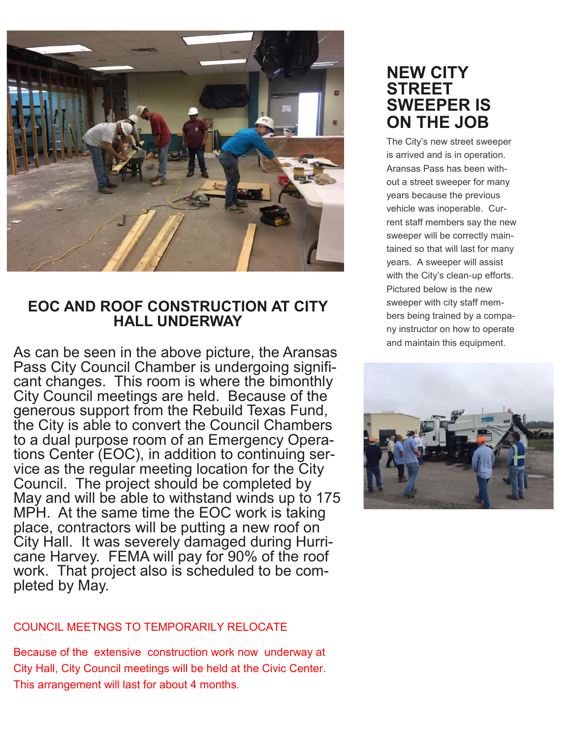

#### **EOC AND ROOF CONSTRUCTION AT CITY HALL UNDERWAY**

As can be seen in the above picture, the Aransas Pass City Council Chamber is undergoing significant changes. This room is where the bimonthly City Council meetings are held. Because of the generous support from the Rebuild Texas Fund, the City is able to convert the Council Chambers to a dual purpose room of an Emergency Operations Center (EOC), in addition to continuing service as the regular meeting location for the City Council. The project should be completed by May and will be able to withstand winds up to 175 MPH. At the same time the EOC work is taking place, contractors will be putting a new roof on City Hall. It was severely damaged during Hurricane Harvey. FEMA will pay for 90% of the roof work. That project also is scheduled to be completed by May.

#### COUNCIL MEETNGS TO TEMPORARILY RELOCATE

Because of the extensive construction work now underway at City Hall, City Council meetings will be held at the Civic Center. This arrangement will last for about 4 months.

## **NEW CITY STREET SWEEPER IS ON THE JOB**

The City's new street sweeper is arrived and is in operation. Aransas Pass has been without a street sweeper for many years because the previous vehicle was inoperable. Current staff members say the new sweeper will be correctly maintained so that will last for many years. A sweeper will assist with the City's clean-up efforts. Pictured below is the new sweeper with city staff members being trained by a company instructor on how to operate and maintain this equipment.

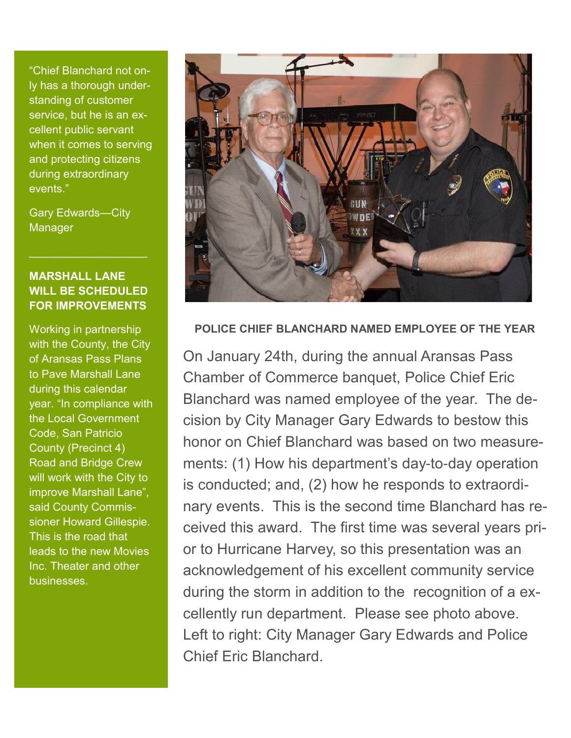"Chief Blanchard not only has a thorough understanding of customer service, but he is an excellent public servant when it comes to serving and protecting citizens during extraordinary events."

Gary Edwards—City **Manager** 

#### **MARSHALL LANE WILL BE SCHEDULED FOR IMPROVEMENTS**

 $\mathcal{L}_\text{max}$  and  $\mathcal{L}_\text{max}$  and  $\mathcal{L}_\text{max}$ 

Working in partnership with the County, the City of Aransas Pass Plans to Pave Marshall Lane during this calendar year. "In compliance with the Local Government Code, San Patricio County (Precinct 4) Road and Bridge Crew will work with the City to improve Marshall Lane", said County Commissioner Howard Gillespie. This is the road that leads to the new Movies Inc. Theater and other businesses.



**POLICE CHIEF BLANCHARD NAMED EMPLOYEE OF THE YEAR**

On January 24th, during the annual Aransas Pass Chamber of Commerce banquet, Police Chief Eric Blanchard was named employee of the year. The decision by City Manager Gary Edwards to bestow this honor on Chief Blanchard was based on two measurements: (1) How his department's day-to-day operation is conducted; and, (2) how he responds to extraordinary events. This is the second time Blanchard has received this award. The first time was several years prior to Hurricane Harvey, so this presentation was an acknowledgement of his excellent community service during the storm in addition to the recognition of a excellently run department. Please see photo above. Left to right: City Manager Gary Edwards and Police Chief Eric Blanchard.